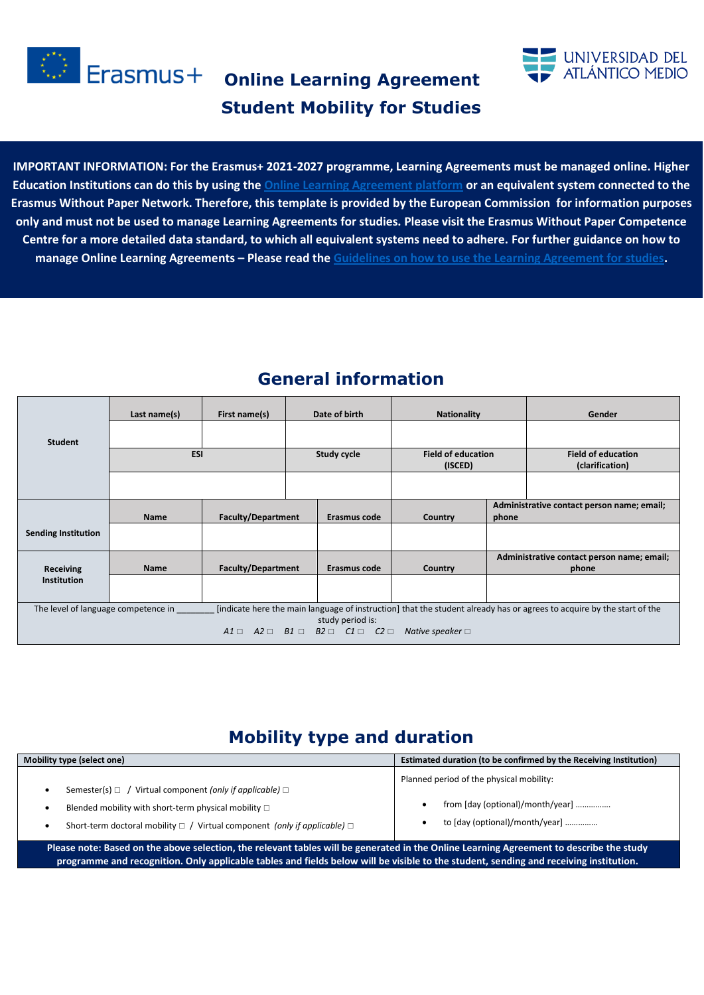

**Erasmus+** Online Learning Agreement **Student Mobility for Studies**



**IMPORTANT INFORMATION: For the Erasmus+ 2021-2027 programme, Learning Agreements must be managed online. Higher Education Institutions can do this by using the [Online Learning Agreement platform](https://learning-agreement.eu/) or an equivalent system connected to the Erasmus Without Paper Network. Therefore, this template is provided by the European Commission for information purposes only and must not be used to manage Learning Agreements for studies. Please visit the Erasmus Without Paper Competence Centre for a more detailed data standard, to which all equivalent systems need to adhere. For further guidance on how to manage Online Learning Agreements – Please read the [Guidelines on how to use the Learning Agreement for studies.](https://ec.europa.eu/programmes/erasmus-plus/resources/documents/guidelines-how-use-learning-agreement-studies_en)** 

|                                     | Last name(s) | First name(s)             |             | Date of birth                                                                 | <b>Nationality</b>                   |       | Gender                                                                                                                 |
|-------------------------------------|--------------|---------------------------|-------------|-------------------------------------------------------------------------------|--------------------------------------|-------|------------------------------------------------------------------------------------------------------------------------|
| <b>Student</b>                      |              |                           |             |                                                                               |                                      |       |                                                                                                                        |
|                                     | <b>ESI</b>   |                           | Study cycle |                                                                               | <b>Field of education</b><br>(ISCED) |       | <b>Field of education</b><br>(clarification)                                                                           |
|                                     |              |                           |             |                                                                               |                                      |       |                                                                                                                        |
|                                     | <b>Name</b>  | <b>Faculty/Department</b> |             | Erasmus code                                                                  | Country                              | phone | Administrative contact person name; email;                                                                             |
| <b>Sending Institution</b>          |              |                           |             |                                                                               |                                      |       |                                                                                                                        |
| <b>Receiving</b>                    | Name         | <b>Faculty/Department</b> |             | Erasmus code                                                                  | Country                              |       | Administrative contact person name; email;<br>phone                                                                    |
| <b>Institution</b>                  |              |                           |             |                                                                               |                                      |       |                                                                                                                        |
| The level of language competence in |              |                           |             | study period is:                                                              |                                      |       | [indicate here the main language of instruction] that the student already has or agrees to acquire by the start of the |
|                                     |              |                           |             | $A1 \square$ $A2 \square$ $B1 \square$ $B2 \square$ $C1 \square$ $C2 \square$ | Native speaker $\Box$                |       |                                                                                                                        |

### **General information**

### **Mobility type and duration**

| Mobility type (select one)                                                                                                                                                                                                                                                       | Estimated duration (to be confirmed by the Receiving Institution)                                              |
|----------------------------------------------------------------------------------------------------------------------------------------------------------------------------------------------------------------------------------------------------------------------------------|----------------------------------------------------------------------------------------------------------------|
| Semester(s) $\Box$ / Virtual component (only if applicable) $\Box$<br>Blended mobility with short-term physical mobility $\Box$<br>Short-term doctoral mobility $\Box$ / Virtual component <i>(only if applicable)</i> $\Box$<br>$\bullet$                                       | Planned period of the physical mobility:<br>from [day (optional)/month/year]<br>to [day (optional)/month/year] |
| Please note: Based on the above selection, the relevant tables will be generated in the Online Learning Agreement to describe the study<br>programme and recognition. Only applicable tables and fields below will be visible to the student, sending and receiving institution. |                                                                                                                |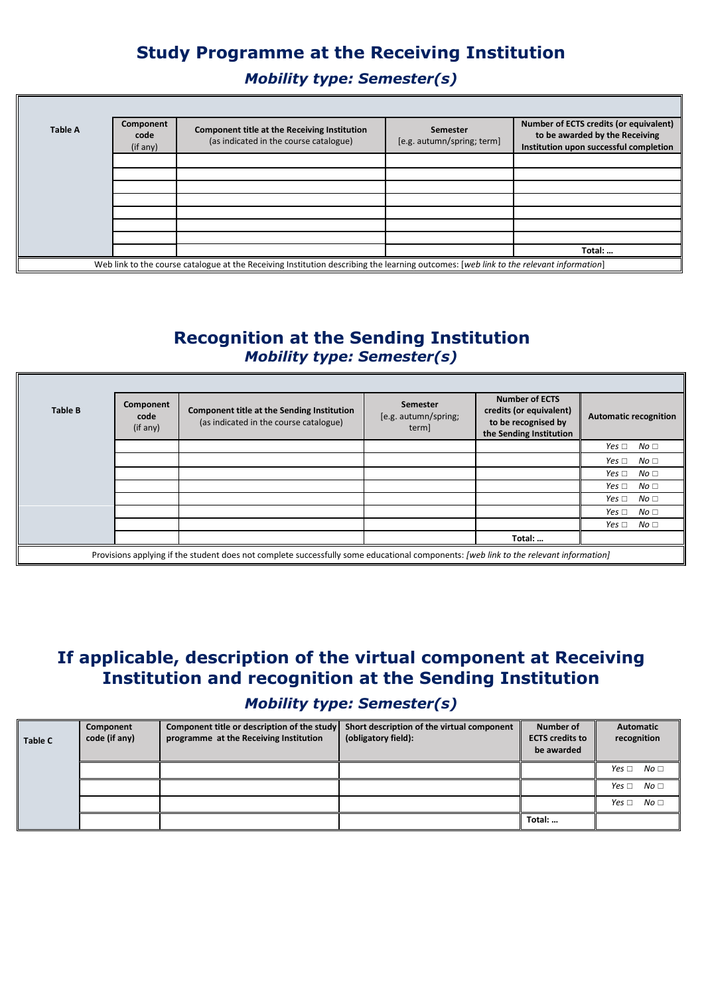# **Study Programme at the Receiving Institution**

*Mobility type: Semester(s)*

11

| <b>Table A</b> | Component<br>code<br>(if any) | Component title at the Receiving Institution<br>(as indicated in the course catalogue)                                                 | Semester<br>[e.g. autumn/spring; term] | Number of ECTS credits (or equivalent)<br>to be awarded by the Receiving<br>Institution upon successful completion |
|----------------|-------------------------------|----------------------------------------------------------------------------------------------------------------------------------------|----------------------------------------|--------------------------------------------------------------------------------------------------------------------|
|                |                               |                                                                                                                                        |                                        |                                                                                                                    |
|                |                               |                                                                                                                                        |                                        |                                                                                                                    |
|                |                               |                                                                                                                                        |                                        |                                                                                                                    |
|                |                               |                                                                                                                                        |                                        |                                                                                                                    |
|                |                               |                                                                                                                                        |                                        |                                                                                                                    |
|                |                               |                                                                                                                                        |                                        |                                                                                                                    |
|                |                               |                                                                                                                                        |                                        |                                                                                                                    |
|                |                               |                                                                                                                                        |                                        | Total:                                                                                                             |
|                |                               | Web link to the course catalogue at the Receiving Institution describing the learning outcomes: [web link to the relevant information] |                                        |                                                                                                                    |

### **Recognition at the Sending Institution** *Mobility type: Semester(s)*

| <b>Table B</b> | Component<br>code<br>(if any)                                                                                                         | Component title at the Sending Institution<br>(as indicated in the course catalogue) | Semester<br>[e.g. autumn/spring;<br>term] | <b>Number of ECTS</b><br>credits (or equivalent)<br>to be recognised by<br>the Sending Institution | <b>Automatic recognition</b>  |  |  |  |
|----------------|---------------------------------------------------------------------------------------------------------------------------------------|--------------------------------------------------------------------------------------|-------------------------------------------|----------------------------------------------------------------------------------------------------|-------------------------------|--|--|--|
|                |                                                                                                                                       |                                                                                      |                                           |                                                                                                    | No <sub>1</sub><br>Yes $\Box$ |  |  |  |
|                |                                                                                                                                       |                                                                                      |                                           |                                                                                                    | No <sub>1</sub><br>Yes $\Box$ |  |  |  |
|                |                                                                                                                                       |                                                                                      |                                           |                                                                                                    | No <sub>1</sub><br>Yes $\Box$ |  |  |  |
|                |                                                                                                                                       |                                                                                      |                                           |                                                                                                    | No <sub>1</sub><br>Yes $\Box$ |  |  |  |
|                |                                                                                                                                       |                                                                                      |                                           |                                                                                                    | Yes $\Box$<br>No <sub>1</sub> |  |  |  |
|                |                                                                                                                                       |                                                                                      |                                           |                                                                                                    | No <sub>1</sub><br>Yes $\Box$ |  |  |  |
|                |                                                                                                                                       |                                                                                      |                                           |                                                                                                    | No <sub>1</sub><br>Yes $\Box$ |  |  |  |
|                |                                                                                                                                       |                                                                                      |                                           | Total:                                                                                             |                               |  |  |  |
|                | Provisions applying if the student does not complete successfully some educational components: [web link to the relevant information] |                                                                                      |                                           |                                                                                                    |                               |  |  |  |

# **If applicable, description of the virtual component at Receiving Institution and recognition at the Sending Institution**

#### *Mobility type: Semester(s)*

| <b>Table C</b> | Component<br>code (if any) | Component title or description of the study<br>programme at the Receiving Institution | Short description of the virtual component<br>(obligatory field): | Number of<br><b>ECTS</b> credits to<br>be awarded | <b>Automatic</b><br>recognition |
|----------------|----------------------------|---------------------------------------------------------------------------------------|-------------------------------------------------------------------|---------------------------------------------------|---------------------------------|
|                |                            |                                                                                       |                                                                   |                                                   | No <sub>1</sub><br>Yes $\Box$   |
|                |                            |                                                                                       |                                                                   |                                                   | No <sub>1</sub><br>Yes $\Box$   |
|                |                            |                                                                                       |                                                                   |                                                   | No <sub>1</sub><br>Yes $\Box$   |
|                |                            |                                                                                       |                                                                   | Total:                                            |                                 |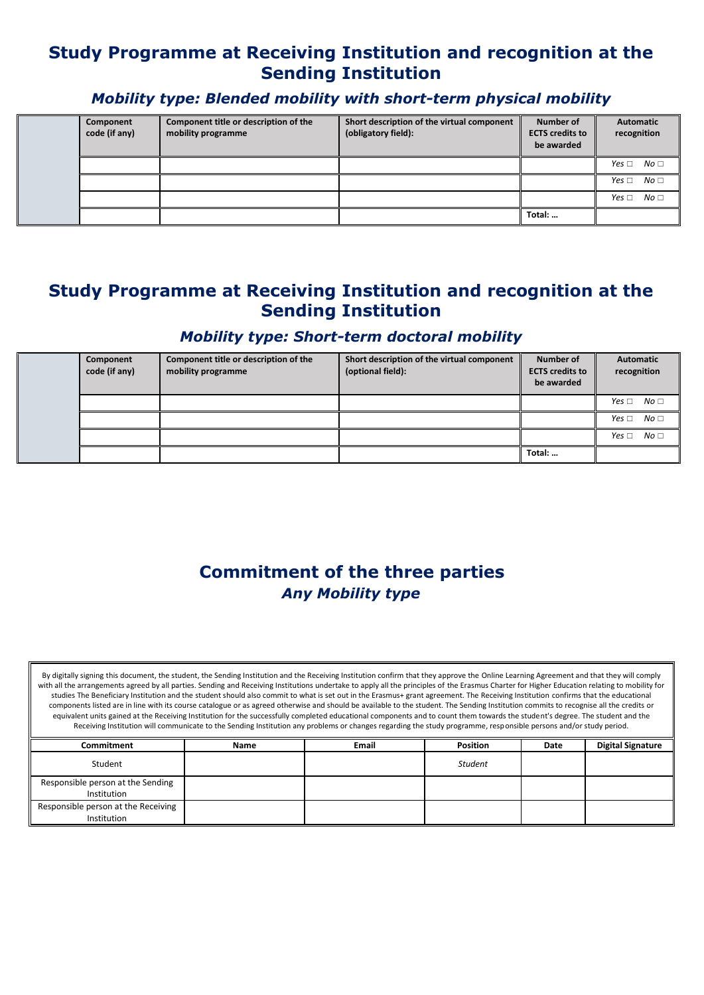### **Study Programme at Receiving Institution and recognition at the Sending Institution**

### *Mobility type: Blended mobility with short-term physical mobility*

| Component<br>code (if any) | Component title or description of the<br>mobility programme | Short description of the virtual component<br>(obligatory field): | Number of<br><b>ECTS</b> credits to<br>be awarded | <b>Automatic</b><br>recognition |
|----------------------------|-------------------------------------------------------------|-------------------------------------------------------------------|---------------------------------------------------|---------------------------------|
|                            |                                                             |                                                                   |                                                   | No <sub>1</sub><br>Yes $\Box$   |
|                            |                                                             |                                                                   |                                                   | No <sub>1</sub><br>Yes $\Box$   |
|                            |                                                             |                                                                   |                                                   | No <sub>1</sub><br>Yes $\Box$   |
|                            |                                                             |                                                                   | Total:                                            |                                 |

### **Study Programme at Receiving Institution and recognition at the Sending Institution**

#### *Mobility type: Short-term doctoral mobility*

| Component<br>code (if any) | Component title or description of the<br>mobility programme | Short description of the virtual component<br>(optional field): | Number of<br><b>ECTS credits to</b><br>be awarded | Automatic<br>recognition         |
|----------------------------|-------------------------------------------------------------|-----------------------------------------------------------------|---------------------------------------------------|----------------------------------|
|                            |                                                             |                                                                 |                                                   | No <sub>1</sub><br>Yes $\square$ |
|                            |                                                             |                                                                 |                                                   | $Yes \Box No \Box$               |
|                            |                                                             |                                                                 |                                                   | No <sub>1</sub><br>Yes $\Box$    |
|                            |                                                             |                                                                 | Total:                                            |                                  |

# **Commitment of the three parties**  *Any Mobility type*

By digitally signing this document, the student, the Sending Institution and the Receiving Institution confirm that they approve the Online Learning Agreement and that they will comply with all the arrangements agreed by all parties. Sending and Receiving Institutions undertake to apply all the principles of the Erasmus Charter for Higher Education relating to mobility for studies The Beneficiary Institution and the student should also commit to what is set out in the Erasmus+ grant agreement. The Receiving Institution confirms that the educational components listed are in line with its course catalogue or as agreed otherwise and should be available to the student. The Sending Institution commits to recognise all the credits or equivalent units gained at the Receiving Institution for the successfully completed educational components and to count them towards the student's degree. The student and the Receiving Institution will communicate to the Sending Institution any problems or changes regarding the study programme, responsible persons and/or study period.

| Commitment                                         | <b>Name</b> | <b>Email</b> | <b>Position</b> | Date | <b>Digital Signature</b> |
|----------------------------------------------------|-------------|--------------|-----------------|------|--------------------------|
| Student                                            |             |              | Student         |      |                          |
| Responsible person at the Sending<br>Institution   |             |              |                 |      |                          |
| Responsible person at the Receiving<br>Institution |             |              |                 |      |                          |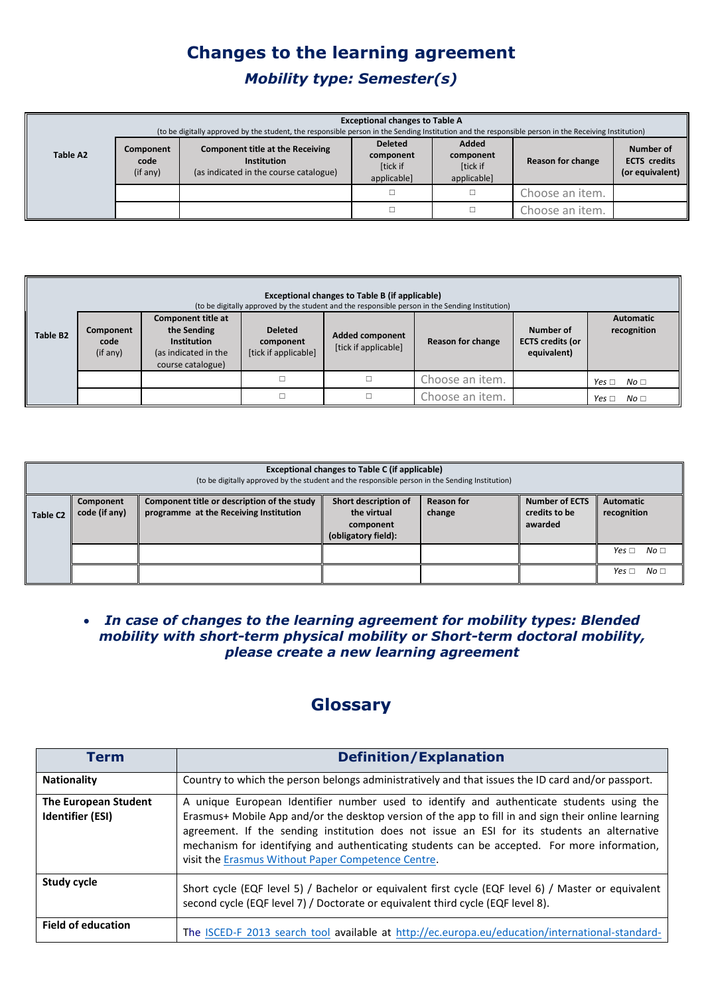# **Changes to the learning agreement**  *Mobility type: Semester(s)*

| <b>Exceptional changes to Table A</b><br>(to be digitally approved by the student, the responsible person in the Sending Institution and the responsible person in the Receiving Institution) |                               |                                                                                                  |                                                        |                                               |                   |                                                     |  |
|-----------------------------------------------------------------------------------------------------------------------------------------------------------------------------------------------|-------------------------------|--------------------------------------------------------------------------------------------------|--------------------------------------------------------|-----------------------------------------------|-------------------|-----------------------------------------------------|--|
| Table A2                                                                                                                                                                                      | Component<br>code<br>(if any) | Component title at the Receiving<br><b>Institution</b><br>(as indicated in the course catalogue) | <b>Deleted</b><br>component<br>[tick if<br>applicable] | Added<br>component<br>[tick if<br>applicable] | Reason for change | Number of<br><b>ECTS</b> credits<br>(or equivalent) |  |
|                                                                                                                                                                                               |                               |                                                                                                  |                                                        |                                               | Choose an item.   |                                                     |  |
|                                                                                                                                                                                               |                               |                                                                                                  |                                                        |                                               | Choose an item.   |                                                     |  |

|                      | <b>Exceptional changes to Table B (if applicable)</b><br>(to be digitally approved by the student and the responsible person in the Sending Institution) |                                                                                                      |                                                     |                                                |                   |                                                     |                                 |
|----------------------|----------------------------------------------------------------------------------------------------------------------------------------------------------|------------------------------------------------------------------------------------------------------|-----------------------------------------------------|------------------------------------------------|-------------------|-----------------------------------------------------|---------------------------------|
| Table B <sub>2</sub> | Component<br>code<br>(if any)                                                                                                                            | Component title at<br>the Sending<br><b>Institution</b><br>(as indicated in the<br>course catalogue) | <b>Deleted</b><br>component<br>[tick if applicable] | <b>Added component</b><br>[tick if applicable] | Reason for change | Number of<br><b>ECTS credits (or</b><br>equivalent) | <b>Automatic</b><br>recognition |
|                      |                                                                                                                                                          |                                                                                                      |                                                     |                                                | Choose an item.   |                                                     | Yes $\Box$<br>No <sub>1</sub>   |
|                      |                                                                                                                                                          |                                                                                                      |                                                     |                                                | Choose an item.   |                                                     | Yes $\Box$<br>No <sub>1</sub>   |

|                      | Exceptional changes to Table C (if applicable)<br>(to be digitally approved by the student and the responsible person in the Sending Institution) |                                                                                       |                                                                         |                             |                                                   |                                 |  |
|----------------------|---------------------------------------------------------------------------------------------------------------------------------------------------|---------------------------------------------------------------------------------------|-------------------------------------------------------------------------|-----------------------------|---------------------------------------------------|---------------------------------|--|
| Table C <sub>2</sub> | Component<br>code (if any)                                                                                                                        | Component title or description of the study<br>programme at the Receiving Institution | Short description of<br>the virtual<br>component<br>(obligatory field): | <b>Reason for</b><br>change | <b>Number of ECTS</b><br>credits to be<br>awarded | <b>Automatic</b><br>recognition |  |
|                      |                                                                                                                                                   |                                                                                       |                                                                         |                             |                                                   | No <sub>1</sub><br>Yes $\Box$   |  |
|                      |                                                                                                                                                   |                                                                                       |                                                                         |                             |                                                   | No <sub>1</sub><br>Yes $\Box$   |  |

#### *In case of changes to the learning agreement for mobility types: Blended mobility with short-term physical mobility or Short-term doctoral mobility, please create a new learning agreement*

# **Glossary**

| <b>Term</b>                              | <b>Definition/Explanation</b>                                                                                                                                                                                                                                                                                                                                                                                                                        |
|------------------------------------------|------------------------------------------------------------------------------------------------------------------------------------------------------------------------------------------------------------------------------------------------------------------------------------------------------------------------------------------------------------------------------------------------------------------------------------------------------|
| <b>Nationality</b>                       | Country to which the person belongs administratively and that issues the ID card and/or passport.                                                                                                                                                                                                                                                                                                                                                    |
| The European Student<br>Identifier (ESI) | A unique European Identifier number used to identify and authenticate students using the<br>Erasmus+ Mobile App and/or the desktop version of the app to fill in and sign their online learning<br>agreement. If the sending institution does not issue an ESI for its students an alternative<br>mechanism for identifying and authenticating students can be accepted. For more information,<br>visit the Erasmus Without Paper Competence Centre. |
| <b>Study cycle</b>                       | Short cycle (EQF level 5) / Bachelor or equivalent first cycle (EQF level 6) / Master or equivalent<br>second cycle (EQF level 7) / Doctorate or equivalent third cycle (EQF level 8).                                                                                                                                                                                                                                                               |
| <b>Field of education</b>                | The ISCED-F 2013 search tool available at http://ec.europa.eu/education/international-standard-                                                                                                                                                                                                                                                                                                                                                      |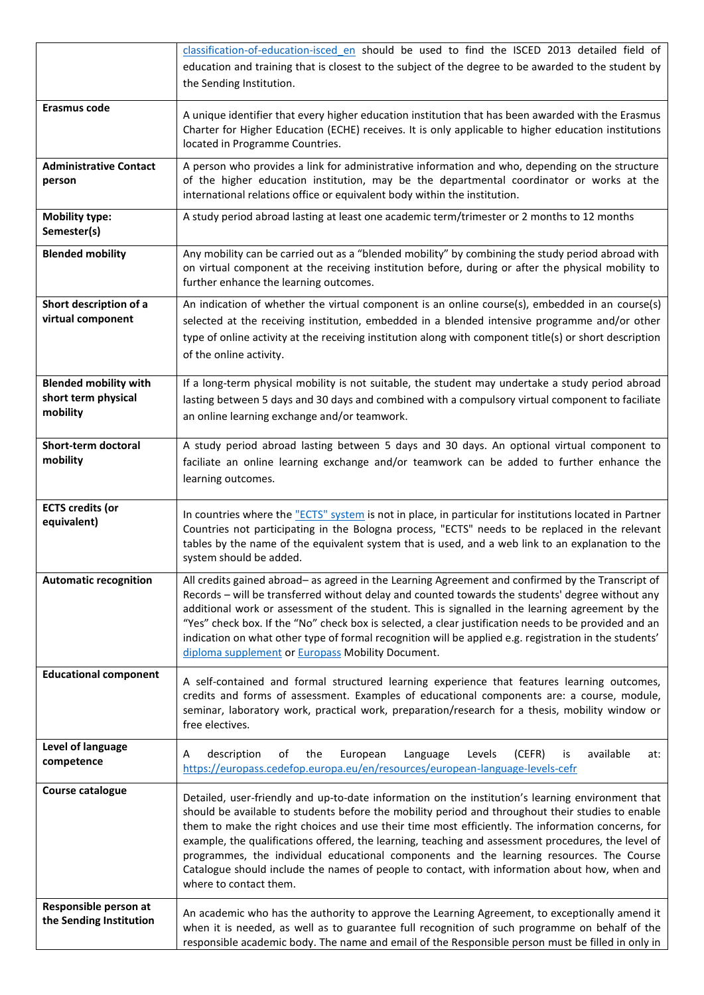|                                                                 | classification-of-education-isced en should be used to find the ISCED 2013 detailed field of<br>education and training that is closest to the subject of the degree to be awarded to the student by<br>the Sending Institution.                                                                                                                                                                                                                                                                                                                                                                                                           |  |
|-----------------------------------------------------------------|-------------------------------------------------------------------------------------------------------------------------------------------------------------------------------------------------------------------------------------------------------------------------------------------------------------------------------------------------------------------------------------------------------------------------------------------------------------------------------------------------------------------------------------------------------------------------------------------------------------------------------------------|--|
| Erasmus code                                                    | A unique identifier that every higher education institution that has been awarded with the Erasmus<br>Charter for Higher Education (ECHE) receives. It is only applicable to higher education institutions<br>located in Programme Countries.                                                                                                                                                                                                                                                                                                                                                                                             |  |
| <b>Administrative Contact</b><br>person                         | A person who provides a link for administrative information and who, depending on the structure<br>of the higher education institution, may be the departmental coordinator or works at the<br>international relations office or equivalent body within the institution.                                                                                                                                                                                                                                                                                                                                                                  |  |
| <b>Mobility type:</b><br>Semester(s)                            | A study period abroad lasting at least one academic term/trimester or 2 months to 12 months                                                                                                                                                                                                                                                                                                                                                                                                                                                                                                                                               |  |
| <b>Blended mobility</b>                                         | Any mobility can be carried out as a "blended mobility" by combining the study period abroad with<br>on virtual component at the receiving institution before, during or after the physical mobility to<br>further enhance the learning outcomes.                                                                                                                                                                                                                                                                                                                                                                                         |  |
| Short description of a<br>virtual component                     | An indication of whether the virtual component is an online course(s), embedded in an course(s)<br>selected at the receiving institution, embedded in a blended intensive programme and/or other<br>type of online activity at the receiving institution along with component title(s) or short description<br>of the online activity.                                                                                                                                                                                                                                                                                                    |  |
| <b>Blended mobility with</b><br>short term physical<br>mobility | If a long-term physical mobility is not suitable, the student may undertake a study period abroad<br>lasting between 5 days and 30 days and combined with a compulsory virtual component to faciliate<br>an online learning exchange and/or teamwork.                                                                                                                                                                                                                                                                                                                                                                                     |  |
| Short-term doctoral<br>mobility                                 | A study period abroad lasting between 5 days and 30 days. An optional virtual component to<br>faciliate an online learning exchange and/or teamwork can be added to further enhance the<br>learning outcomes.                                                                                                                                                                                                                                                                                                                                                                                                                             |  |
| <b>ECTS</b> credits (or<br>equivalent)                          | In countries where the "ECTS" system is not in place, in particular for institutions located in Partner<br>Countries not participating in the Bologna process, "ECTS" needs to be replaced in the relevant<br>tables by the name of the equivalent system that is used, and a web link to an explanation to the<br>system should be added.                                                                                                                                                                                                                                                                                                |  |
| <b>Automatic recognition</b>                                    | All credits gained abroad- as agreed in the Learning Agreement and confirmed by the Transcript of<br>Records - will be transferred without delay and counted towards the students' degree without any<br>additional work or assessment of the student. This is signalled in the learning agreement by the<br>"Yes" check box. If the "No" check box is selected, a clear justification needs to be provided and an<br>indication on what other type of formal recognition will be applied e.g. registration in the students'<br>diploma supplement or Europass Mobility Document.                                                         |  |
| <b>Educational component</b>                                    | A self-contained and formal structured learning experience that features learning outcomes,<br>credits and forms of assessment. Examples of educational components are: a course, module,<br>seminar, laboratory work, practical work, preparation/research for a thesis, mobility window or<br>free electives.                                                                                                                                                                                                                                                                                                                           |  |
| Level of language<br>competence                                 | available<br>description<br>the<br>European<br>Language<br>Levels<br>(CEFR)<br>of<br>Α<br>is<br>at:<br>https://europass.cedefop.europa.eu/en/resources/european-language-levels-cefr                                                                                                                                                                                                                                                                                                                                                                                                                                                      |  |
| Course catalogue                                                | Detailed, user-friendly and up-to-date information on the institution's learning environment that<br>should be available to students before the mobility period and throughout their studies to enable<br>them to make the right choices and use their time most efficiently. The information concerns, for<br>example, the qualifications offered, the learning, teaching and assessment procedures, the level of<br>programmes, the individual educational components and the learning resources. The Course<br>Catalogue should include the names of people to contact, with information about how, when and<br>where to contact them. |  |
| Responsible person at<br>the Sending Institution                | An academic who has the authority to approve the Learning Agreement, to exceptionally amend it<br>when it is needed, as well as to guarantee full recognition of such programme on behalf of the<br>responsible academic body. The name and email of the Responsible person must be filled in only in                                                                                                                                                                                                                                                                                                                                     |  |